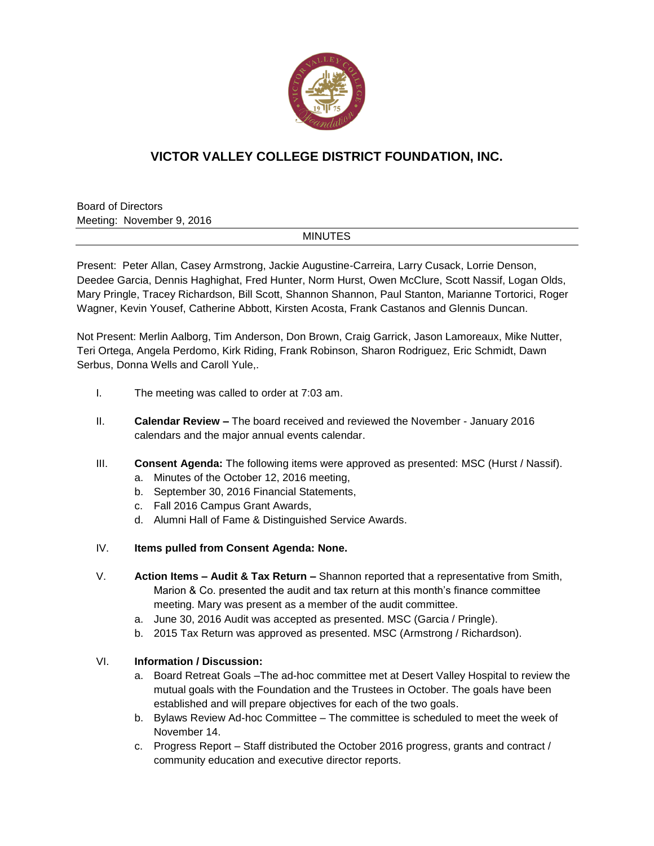

## **VICTOR VALLEY COLLEGE DISTRICT FOUNDATION, INC.**

Board of Directors Meeting: November 9, 2016

## MINUTES

Present: Peter Allan, Casey Armstrong, Jackie Augustine-Carreira, Larry Cusack, Lorrie Denson, Deedee Garcia, Dennis Haghighat, Fred Hunter, Norm Hurst, Owen McClure, Scott Nassif, Logan Olds, Mary Pringle, Tracey Richardson, Bill Scott, Shannon Shannon, Paul Stanton, Marianne Tortorici, Roger Wagner, Kevin Yousef, Catherine Abbott, Kirsten Acosta, Frank Castanos and Glennis Duncan.

Not Present: Merlin Aalborg, Tim Anderson, Don Brown, Craig Garrick, Jason Lamoreaux, Mike Nutter, Teri Ortega, Angela Perdomo, Kirk Riding, Frank Robinson, Sharon Rodriguez, Eric Schmidt, Dawn Serbus, Donna Wells and Caroll Yule,.

- I. The meeting was called to order at 7:03 am.
- II. **Calendar Review –** The board received and reviewed the November January 2016 calendars and the major annual events calendar.
- III. **Consent Agenda:** The following items were approved as presented: MSC (Hurst / Nassif).
	- a. Minutes of the October 12, 2016 meeting,
	- b. September 30, 2016 Financial Statements,
	- c. Fall 2016 Campus Grant Awards,
	- d. Alumni Hall of Fame & Distinguished Service Awards.
- IV. **Items pulled from Consent Agenda: None.**
- V. **Action Items – Audit & Tax Return –** Shannon reported that a representative from Smith, Marion & Co. presented the audit and tax return at this month's finance committee meeting. Mary was present as a member of the audit committee.
	- a. June 30, 2016 Audit was accepted as presented. MSC (Garcia / Pringle).
	- b. 2015 Tax Return was approved as presented. MSC (Armstrong / Richardson).

## VI. **Information / Discussion:**

- a. Board Retreat Goals –The ad-hoc committee met at Desert Valley Hospital to review the mutual goals with the Foundation and the Trustees in October. The goals have been established and will prepare objectives for each of the two goals.
- b. Bylaws Review Ad-hoc Committee The committee is scheduled to meet the week of November 14.
- c. Progress Report Staff distributed the October 2016 progress, grants and contract / community education and executive director reports.